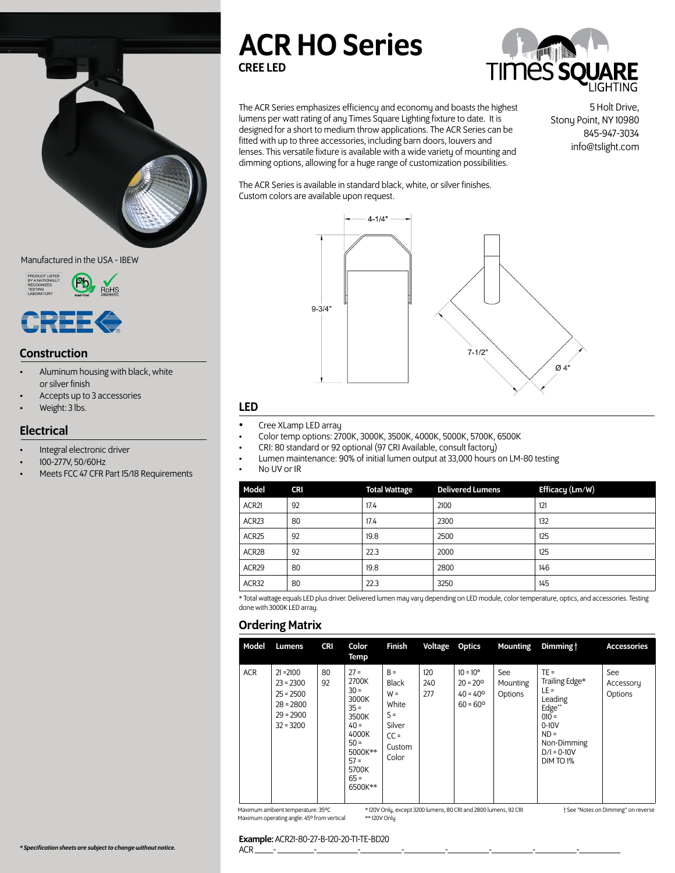

#### Manufactured in the USA - IBEW



### **Construction**

- Aluminum housing with black, white or silver finish
- Accepts up to 3 accessories
- Weight: 3 lbs.

# **Electrical**

- Integral electronic driver
- 100-277V, 50/60Hz
- Meets FCC 47 CFR Part 15/18 Requirements

# ACR HO Series CREE LED



The ACR Series emphasizes efficiency and economy and boasts the highest lumens per watt rating of any Times Square Lighting fixture to date. It is designed for a short to medium throw applications. The ACR Series can be fitted with up to three accessories, including barn doors, louvers and lenses. This versatile fixture is available with a wide variety of mounting and dimming options, allowing for a huge range of customization possibilities.

5 Holt Drive, Stony Point, NY 10980 845-947-3034 info@tslight.com

The ACR Series is available in standard black, white, or silver finishes. Custom colors are available upon request.



## LED

- Cree XLamp LED array
- Color temp options: 2700K, 3000K, 3500K, 4000K, 5000K, 5700K, 6500K
- CRI: 80 standard or 92 optional (97 CRI Available, consult factory)
- Lumen maintenance: 90% of initial lumen output at 33,000 hours on LM-80 testing

No UV or IR

| Model             | <b>CRI</b> | <b>Total Wattage</b> | <b>Delivered Lumens</b> | Efficacy (Lm/W) |
|-------------------|------------|----------------------|-------------------------|-----------------|
| ACR21             | 92         | 17.4                 | 2100                    | 121             |
| ACR <sub>23</sub> | 80         | 17.4                 | 2300                    | 132             |
| ACR25             | 92         | 19.8                 | 2500                    | 125             |
| ACR <sub>28</sub> | 92         | 22.3                 | 2000                    | 125             |
| ACR29             | 80         | 19.8                 | 2800                    | 146             |
| ACR32             | 80         | 22.3                 | 3250                    | 145             |

\* Total wattage equals LED plus driver. Delivered lumen may vary depending on LED module, color temperature, optics, and accessories. Testing done with 3000K LED array.

## Ordering Matrix

| Model      | Lumens                                                                                 | <b>CRI</b> | Color<br>Temp                                                                                                                         | <b>Finish</b>                                                                           | Voltage Optics    |                                                                                  | Mounting                   | Dimming t                                                                                                                            | <b>Accessories</b>          |
|------------|----------------------------------------------------------------------------------------|------------|---------------------------------------------------------------------------------------------------------------------------------------|-----------------------------------------------------------------------------------------|-------------------|----------------------------------------------------------------------------------|----------------------------|--------------------------------------------------------------------------------------------------------------------------------------|-----------------------------|
| <b>ACR</b> | $21 = 2100$<br>$23 = 2300$<br>$25 = 2500$<br>$28 = 2800$<br>$29 = 2900$<br>$32 = 3200$ | 80<br>92   | $27 =$<br>2700K<br>$30 =$<br>3000K<br>$35 =$<br>3500K<br>$40 =$<br>4000K<br>$50 =$<br>5000K**<br>$57 =$<br>5700K<br>$65 =$<br>6500K** | $B =$<br><b>Black</b><br>$W =$<br>White<br>$S =$<br>Silver<br>$CC =$<br>Custom<br>Color | 120<br>240<br>277 | $10 = 10^{\circ}$<br>$20 = 20^{\circ}$<br>$40 = 40^{\circ}$<br>$60 = 60^{\circ}$ | See<br>Mounting<br>Options | $TE =$<br>Trailing Edge*<br>$LE =$<br>Leading<br>Edge**<br>$010 =$<br>$0-10V$<br>$ND =$<br>Non-Dimming<br>$D/I = 0-10V$<br>DIM TO 1% | See<br>Accessory<br>Options |

Maximum ambient temperature: 35ºC Maximum operating angle: 45º from vertical

\* 120V Only, except 3200 lumens, 80 CRI and 2800 lumens, 92 CRI \*\* 120V Only

† See "Notes on Dimming" on reverse

#### Example: ACR21-80-27-B-120-20-T1-TE-BD20

*\* Specification sheets are subject to change without notice.*

ACR \_\_\_\_- \_\_\_\_\_\_\_\_-\_\_\_\_\_\_\_\_\_-\_\_\_\_\_\_\_\_\_-\_\_\_\_\_\_\_\_\_-\_\_\_\_\_\_\_\_\_-\_\_\_\_\_\_\_\_\_-\_\_\_\_\_\_\_\_\_-\_\_\_\_\_\_\_\_\_